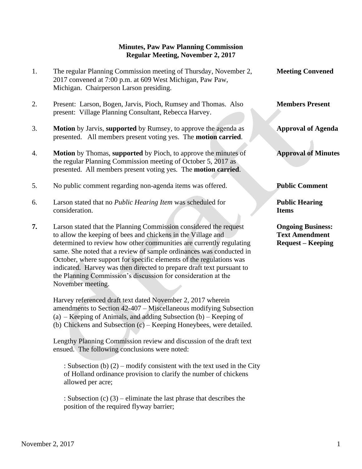## **Minutes, Paw Paw Planning Commission Regular Meeting, November 2, 2017**

- 1. The regular Planning Commission meeting of Thursday, November 2, **Meeting Convened** 2017 convened at 7:00 p.m. at 609 West Michigan, Paw Paw, Michigan. Chairperson Larson presiding.
- 2. Present: Larson, Bogen, Jarvis, Pioch, Rumsey and Thomas. Also **Members Present** present: Village Planning Consultant, Rebecca Harvey.
- 3. **Motion** by Jarvis, **supported** by Rumsey, to approve the agenda as **Approval of Agenda** presented. All members present voting yes. The **motion carried**.
- 4. **Motion** by Thomas, **supported** by Pioch, to approve the minutes of **Approval of Minutes** the regular Planning Commission meeting of October 5, 2017 as presented. All members present voting yes. The **motion carried**.
- 5. No public comment regarding non-agenda items was offered. **Public Comment**
- 6. Larson stated that no *Public Hearing Item* was scheduled for **Public Hearing** consideration. **Items**
- **7.** Larson stated that the Planning Commission considered the request **Ongoing Business:** to allow the keeping of bees and chickens in the Village and **Text Amendment** determined to review how other communities are currently regulating **Request – Keeping** same. She noted that a review of sample ordinances was conducted in October, where support for specific elements of the regulations was indicated. Harvey was then directed to prepare draft text pursuant to the Planning Commission's discussion for consideration at the November meeting.

 Harvey referenced draft text dated November 2, 2017 wherein amendments to Section 42-407 – Miscellaneous modifying Subsection (a) – Keeping of Animals, and adding Subsection (b) – Keeping of (b) Chickens and Subsection (c) – Keeping Honeybees, were detailed.

 Lengthy Planning Commission review and discussion of the draft text ensued. The following conclusions were noted:

: Subsection (b) (2) – modify consistent with the text used in the City of Holland ordinance provision to clarify the number of chickens allowed per acre;

: Subsection (c) (3) – eliminate the last phrase that describes the position of the required flyway barrier;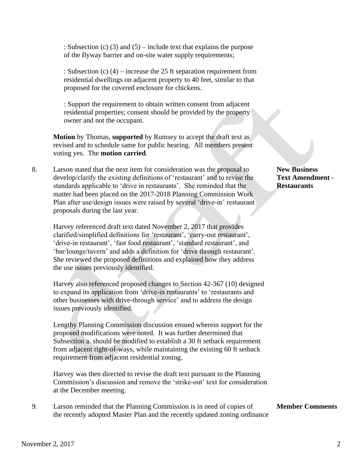: Subsection (c) (3) and (5) – include text that explains the purpose of the flyway barrier and on-site water supply requirements;

: Subsection (c) (4) – increase the 25 ft separation requirement from residential dwellings on adjacent property to 40 feet, similar to that proposed for the covered enclosure for chickens.

: Support the requirement to obtain written consent from adjacent residential properties; consent should be provided by the property owner and not the occupant.

 **Motion** by Thomas, **supported** by Rumsey to accept the draft text as revised and to schedule same for public hearing. All members present voting yes. The **motion carried**.

8. Larson stated that the next item for consideration was the proposal to **New Business** develop/clarify the existing definitions of 'restaurant' and to revise the **Text Amendment** standards applicable to 'drive in restaurants'. She reminded that the **Restaurants**  matter had been placed on the 2017-2018 Planning Commission Work Plan after use/design issues were raised by several 'drive-in' restaurant proposals during the last year.

 Harvey referenced draft text dated November 2, 2017 that provides clarified/simplified definitions for 'restaurant', 'carry-out restaurant', 'drive-in restaurant', 'fast food restaurant', 'standard restaurant', and 'bar/lounge/tavern' and adds a definition for 'drive through restaurant'. She reviewed the proposed definitions and explained how they address the use issues previously identified.

 Harvey also referenced proposed changes to Section 42-367 (10) designed to expand its application from 'drive-in restaurants' to 'restaurants and other businesses with drive-through service' and to address the design issues previously identified.

 Lengthy Planning Commission discussion ensued wherein support for the proposed modifications were noted. It was further determined that Subsection a. should be modified to establish a 30 ft setback requirement from adjacent right-of-ways, while maintaining the existing 60 ft setback requirement from adjacent residential zoning.

 Harvey was then directed to revise the draft text pursuant to the Planning Commission's discussion and remove the 'strike-out' text for consideration at the December meeting.

9. Larson reminded that the Planning Commission is in need of copies of **Member Comments** the recently adopted Master Plan and the recently updated zoning ordinance

## November 2, 2017 2